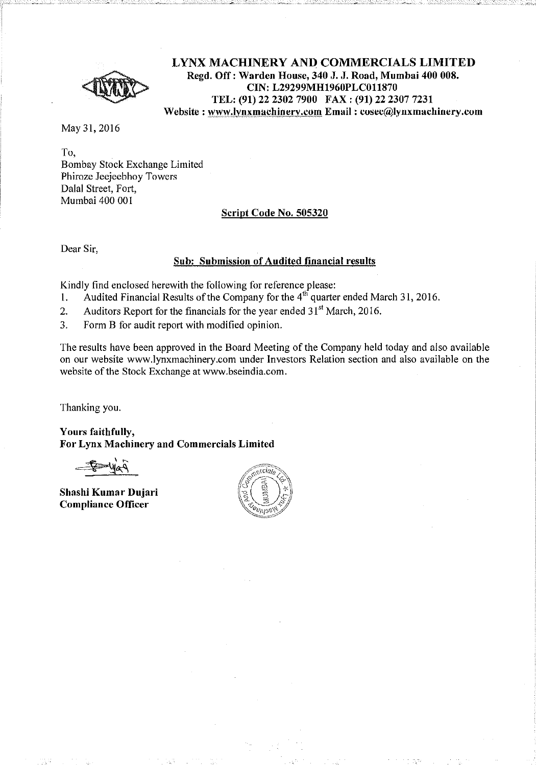

LYNX MACHINERY AND COMMERCIALS LIMITED Regd. Off: Warden House, 340 J. J. Road, Mumbai 400 008. CIN: L29299MH1960PLC011870 TEL: (91) 22 2302 7900 FAX: (91) 22 2307 7231 Website : www.lynxmachinery.com Email : cosec@lynxmachinery.com

May 31,2016

To, Bombay Stock Exchange Limited Phiroze Jeejeebhoy Towers Dalal Street, Fort, Mumbai 400 001

## Script Code No. 505320

Dear Sir,

## Sub: Submission of Audited financial results

Kindly find enclosed herewith the following for reference please:

- 1. Audited Financial Results of the Company for the  $4<sup>th</sup>$  quarter ended March 31, 2016,
- 2. Auditors Report for the financials for the year ended  $31<sup>st</sup>$  March, 2016.
- 3. Form B for audit report with modified opinion.

The results have been approved in the Board Meeting of the Company held today and also available on our website wwwJynxmachinery.com under Investors Relation section and also available on the website of the Stock Exchange at www.bseindia.com.

Thanking you.

Yours faithfully, For Lynx Machinery and Commercials Limited

Shashi Kumar Dujari Compliance Officer

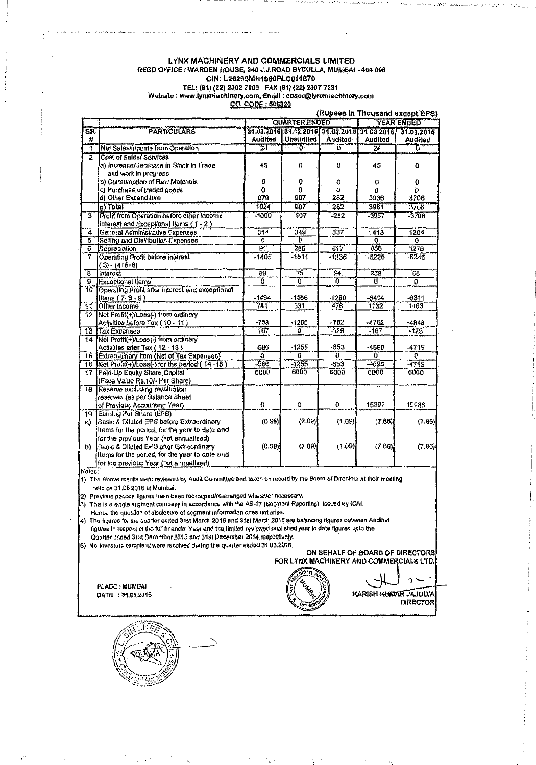### LYNX MACHINERY AND COMMERCIALS LIMITED REGD OFFICE: WARDEN HOUSE, 340 J.J.ROAD BYGULLA, MUMBAI - 400 008 CIN: L29299MH1960PLC011870 TEL: (94) (22) 2302 7800 FAX (91) (22) 2307 7231<br>Website: www.tynxmachinery.com, Email: cosec@tynxmachinery.com CO. CODE: 605320

|                         |                                                 |                                           |           |                                             |         | (Rupees in Thousand except EPS) |
|-------------------------|-------------------------------------------------|-------------------------------------------|-----------|---------------------------------------------|---------|---------------------------------|
|                         |                                                 | <b>QUARTER ENDED</b><br><b>YEAR ENDED</b> |           |                                             |         |                                 |
| SR.                     | <b>PARTICULARS</b>                              |                                           |           | 31.03.2016 31.12.2016 31.03.2015 31.03.2016 |         | 31.03.2015                      |
| #                       |                                                 | Audited                                   | Unaudited | <b>Audited</b>                              | Audited | Audited                         |
| 7                       | Net Sales/Income from Operation                 | 24                                        | 0         | ö                                           | 24      | 0                               |
| Τ                       | Cost of Sales/ Services                         |                                           |           |                                             |         |                                 |
|                         | a) Increase/Decrease in Stock in Trade          | 45                                        | 0         | 0                                           | 45      | 0                               |
|                         | and work in progress                            |                                           |           |                                             |         |                                 |
|                         | b) Consumption of Raw Materials                 | ٥                                         | O         | 0                                           | o       | 0                               |
|                         | c) Purchase of traded goods                     | $\bf{0}$                                  | a         | 0                                           | 0       | O.                              |
|                         | d) Other Expenditure                            | 979                                       | 907       | 282                                         | 3936    | 3706                            |
|                         | g) Total                                        | 1024                                      | 907       | 282                                         | 3981    | 3706                            |
| 3                       | Profit from Operation before other Income       | $-1000$                                   | $-907$    | $-282$                                      | $-3957$ | $-3706$                         |
|                         | interest and Exceptional items (1 - 2)          |                                           |           |                                             |         |                                 |
| 4                       | General Administrative Expenses                 | 314                                       | 349       | 337                                         | 1413    | 1204                            |
| 5                       | Selling and Distribution Expenses               | o                                         | ъ         |                                             | 0       | 0                               |
| $\overline{6}$          | Depreciation                                    | ক্তা                                      | 265       | 617                                         | 856     | 1276                            |
| 7                       | Operating Profit before interest                | $-1405$                                   | $-1511$   | $-1236$                                     | $-6226$ | $-6246$                         |
|                         | $(3) - (4.6 + 6)$                               |                                           |           |                                             |         |                                 |
| $\overline{\mathbf{g}}$ | interest                                        | 89                                        | 75        | 24                                          | 268     | 65                              |
| g.                      | <b>Exceptional Ilems</b>                        | ö                                         | õ         | Ծ                                           | Έï      | $\overline{\mathfrak{a}}$       |
| 10                      | Operating Profit after interest and exceptional |                                           |           |                                             |         |                                 |
|                         | items (7-8-9)                                   | $-1494$                                   | $-1586$   | $-1260$                                     | -6494   | $-6311$                         |
| $\overline{11}$         | Other income                                    | 741                                       | 331       | 478                                         | 1732    | 1463                            |
| 12                      | Net Profit(+)/Loss(-) from ordinary             |                                           |           |                                             |         |                                 |
|                         | Activities before Tax (10 - 11)                 | $-753$                                    | $-1255$   | $-782$                                      | $-4762$ | -4848                           |
| $\overline{13}$         | Tax Expenses                                    | -167                                      | Ō         | $-129$                                      | $-167$  | $-129$                          |
| 14                      | Net Profil(+)/Loss(-) from ordinary             |                                           |           |                                             |         |                                 |
|                         | Activities after Tax (12 - 13)                  | -586                                      | $-1255$   | $-653$                                      | -4595   | -4719                           |
| 15                      | Extraordinary Item (Net of Tax Expenses)        | õ                                         | õ         | 6                                           | õ       | $\overline{0}$                  |
|                         | 16 Net Profil(+)/Loss(-) for the period (14-15) | $-586$                                    | $-1255$   | $-653$                                      | -4595   | $-4719$                         |
| $\overline{17}$         | Pald-Up Equity Share Capital                    | 6000                                      | 6000      | 6000                                        | 6000    | 6000                            |
|                         | (Face Value Rs.10/- Per Share)                  |                                           |           |                                             |         |                                 |
| 18                      | Reserve excluding revaluation                   |                                           |           |                                             |         |                                 |
|                         | reserves (as per Balance Sheet                  |                                           |           |                                             |         |                                 |
|                         | of Previous Accounting Year)                    | 0                                         | 0         | O                                           | 15392   | 19986                           |
| 19                      | Earning Per Share (EPS)                         |                                           |           |                                             |         |                                 |
| EL)                     | Basic & Diluted EPS before Extraordinary        | (0.98)                                    | (2.09)    | (1.09)                                      | (7.66)  | (7.86)                          |
|                         | Items for the period, for the year to date and  |                                           |           |                                             |         |                                 |
|                         | for the previous Year (not annualised)          |                                           |           |                                             |         |                                 |
| b)                      | Basic & Diluted EPS after Extraordinary         | (0.98)                                    | (2,09)    | (1.09)                                      | (7.66)  | (7.86)                          |
|                         | Items for the period, for the year to date and  |                                           |           |                                             |         |                                 |
|                         | for the previous Year (not annualised)          |                                           |           |                                             |         |                                 |

1) The Above results were reviewed by Audit Committee and taken on record by the Board of Directors at their meeting held on 31,05.2016 at Mumbai.

2) Previous periods figures have been regrouped/rearranged wherever necessary.

3) This is a single segment company in accordance with the AS-17 (Segment Reporting) issued by ICAI.

Hence the question of disclosure of segment information does not arise.

The figures for the quarter ended 31st March 2016 and 31st March 2015 are balancing figures between Audited 4) figures in respect of the full financial Year and the limited reviewed published year to date figures upto the<br>Quarter ended 31st December 2015 and 31st December 2014 respectively.

5) No Investors complaint were received during the quarter ended 31.03.2016.

#### ON BEHALF OF BOARD OF DIRECTORS FOR LYNX MACHINERY AND COMMERCIALS LTD.

PLACE: MUMBAI DATE: 31,05,2016

HARISH KUMAR JAJODIA **DIRECTOR** 

າ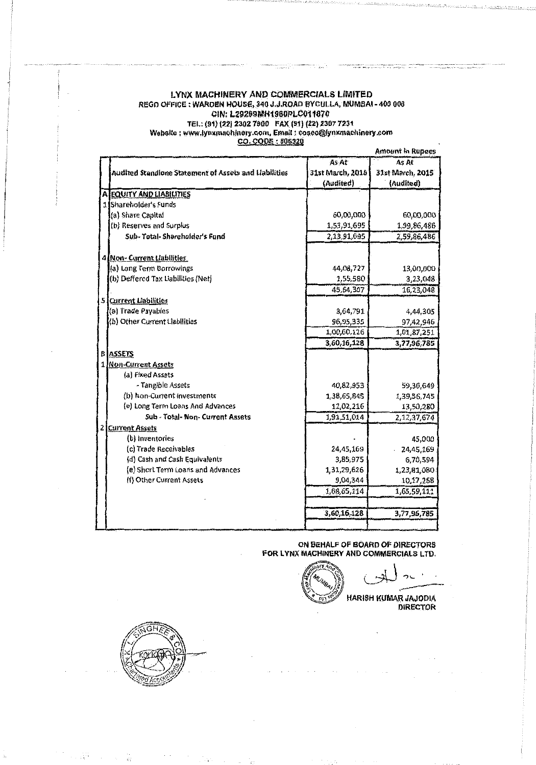# LYNX MACHINERY AND COMMERCIALS LIMITED REGD OFFICE: WARDEN HOUSE, 340 J.J.ROAD BYCULLA, MUMBAI - 400 008 CIN: L29209MH1960PLC011870 TEL: (91) (22) 2302 7900 FAX (91) (22) 2307 7231<br>Website : www.jynxmachinery.com, Email : cosec@lynxmachinery.com<br>CO. CODE : 505320

|    |                                                       |                  | <b>Amount in Rupees</b> |
|----|-------------------------------------------------------|------------------|-------------------------|
|    |                                                       | As At            | As At                   |
|    | Audited Standione Statement of Assets and Liabilities | 31st March, 2016 | 31st March, 2015        |
|    |                                                       | (Audited)        | (Audited)               |
|    | A EQUITY AND LIABILITIES                              |                  |                         |
|    | 1 Shareholder's Funds                                 |                  |                         |
|    | (a) Share Capital                                     | 60,00,000        | 60,00,000               |
|    | (b) Reserves and Surplus                              | 1,53,91,695      | 1,99,86,486             |
|    | Sub-Total-Shareholder's Fund                          | 2,13,91,695      | 2,59,86,486             |
|    |                                                       |                  |                         |
|    | 4 Non- Current Liabilities                            |                  |                         |
|    | (a) Long Term Borrowings                              | 44,08,727        | 13,00,000               |
|    | (b) Deffered Tax Liabilities (Net)                    | 1,55,580         | 3,23,048                |
|    |                                                       | 45,64,307        | 16,23,048               |
| 51 | <b>Current Liabilities</b>                            |                  |                         |
|    | (a) Trade Payables                                    | 3,64,791         | 4,44,305                |
|    | (b) Other Current Liabilities                         | 96,95,335        | 97,42,946               |
|    |                                                       | 1,00,60,126      | 1,01,87,251             |
|    |                                                       | 3,60,16,128      | 3,77,96,785             |
|    | <b>B</b> ASSETS                                       |                  |                         |
|    | 1 Non-Current Assets                                  |                  |                         |
|    | (a) Fixed Assets                                      |                  |                         |
|    | - Tangible Assets                                     | 40,82,953        | 59,30,649               |
|    | (b) Non-Current Investments                           | 1,38,65,845      | 1,39,56,745             |
|    | (e) Long Term Loans And Advances                      | 12,02,216        | 13,50,280               |
|    | Sub - Total-Non-Current Assets                        | 1,91,51,014      | 2,12,37,674             |
|    | 2 Current Assets                                      |                  |                         |
|    | (b) Inventories                                       |                  | 45,000                  |
|    | (c) Trade Receivables                                 | 24,45,169        | 24,45,169               |
|    | (d) Cash and Cash Equivalents                         | 3,85,975         | 6,70,594                |
|    | (e) Short Term Loans and Advances                     | 1,31,29,626      | 1,23,81,080             |
|    | (f) Other Current Assets                              | 9,04,344         | 10,17,268               |
|    |                                                       | 1,68,65,114      | 1,65,59,111             |
|    |                                                       |                  |                         |
|    |                                                       | 3,60,16,128      | 3,77,96,785             |
|    |                                                       |                  |                         |

ON BEHALF OF BOARD OF DIRECTORS<br>FOR LYNX MACHINERY AND COMMERCIALS LTD.

HARISH KUMAR JAJODIA

**DIRECTOR** 



 $\mathcal{L}(\mathcal{K}^{\mathcal{M}})$  ,  $\mathcal{L}(\mathcal{K}^{\mathcal{M}})$  ,  $\mathcal{L}(\mathcal{K}^{\mathcal{M}})$ 

**大阪 100000000**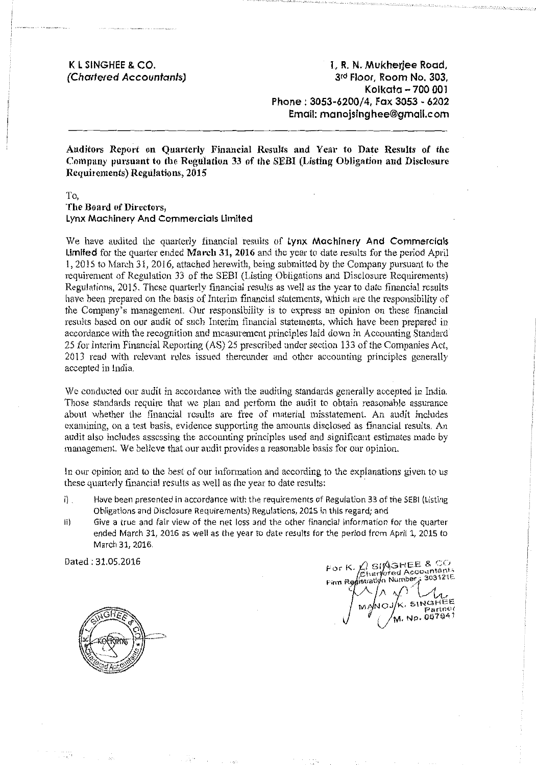**K l SINGHEE & CO. (Chartered Accountants)** 

**1, R.N. Mukherjee Rood,**  3rd **Floor, Room No. 303, Kolkata - 700 001 Phone: 3053-6200/4, Fax 3053- 6202 Email: manojsinghee@gmail.com** 

**Auditors Report on Quarterly Financial Results and Year to Date Results of the Com puny pursuant to the Regulation 33 of the SEBI (Listing Obligation and Disclosure Requirements) Regulations, 2015** 

**To, The Board of Directors, Lynx Machinery And Commercials Limited** 

We have audited the quarterly financial results of **Lynx Machinery And Commercials Limited** for the quarter ended **March 31, 2016** and the year to date results for the period April I, 2015 to March 31, 2016, attached herewith, being submitted by the Company pursuant to the requirement of Regulation 33 of the SEBI (Listing Obligations and Disclosure Requirements) Regulations, 2015. These quarterly financial results as well as the year to date financial results have been prepared on the basis of Interim financial statements, which are the responsibility of the Company's management. Our responsibility is to express an opinion on these financial results based on our audit of such Interim financial statements, which have been prepared in accordance with the recognition and measurement principles laid down in Accounting Standard 25 for Interim Financial Reporting (AS) 25 prescribed under section 133 of the Companies Act, 2013 read with relevant rules issued thereunder and other accounting principles generally accepted in lndia.

We conducted our audit in accordance with the auditing standards generally accepted in India. Those standards require that we plan and perform the audit to obtain reasonable assurance about whether the financial results are free of material misstatement. An audit includes examining, on a test basis, evidence supporting the amounts disclosed as financial results. An audit also includes assessing the accounting principles used and significant estimates made by management. We believe that our audit provides a reasonable basis for our opinion.

In our opinion and to the best of our information and according to the explanations given to us these quarterly financial results as well as the year to date results:

- i) Have been presented in accordance with the requirements of Regulation 33 of the SEBI (Listing Obligations and Disclosure Requirements) Regulations, 2015 in this regard; and
- ii) Give a true and fair view of the net loss and the other financial information for the quarter ended March 31, 2016 as well as the year to date results for the period from April 1, 2015 to March 31, 2016.

Dated: 31.05.2016

 $\mathcal{L}$  simshee &  $\mathcal{L}$ For K. Charlered Accounts n Number